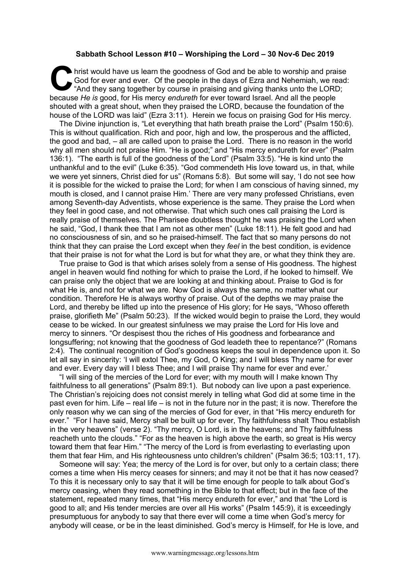## **Sabbath School Lesson #10 – Worshiping the Lord – 30 Nov-6 Dec 2019**

hrist would have us learn the goodness of God and be able to worship and praise<br>
God for ever and ever. Of the people in the days of Ezra and Nehemiah, we read:<br>
"And they sang together by course in praising and giving tha God for ever and ever. Of the people in the days of Ezra and Nehemiah, we read: "And they sang together by course in praising and giving thanks unto the LORD; because *He is* good, for His mercy *endureth* for ever toward Israel. And all the people shouted with a great shout, when they praised the LORD, because the foundation of the house of the LORD was laid" (Ezra 3:11). Herein we focus on praising God for His mercy.

The Divine injunction is, "Let everything that hath breath praise the Lord" (Psalm 150:6). This is without qualification. Rich and poor, high and low, the prosperous and the afflicted, the good and bad, – all are called upon to praise the Lord. There is no reason in the world why all men should not praise Him. "He is good;" and "His mercy endureth for ever" (Psalm 136:1). "The earth is full of the goodness of the Lord" (Psalm 33:5). "He is kind unto the unthankful and to the evil" (Luke 6:35). "God commendeth His love toward us, in that, while we were yet sinners, Christ died for us" (Romans 5:8). But some will say, 'I do not see how it is possible for the wicked to praise the Lord; for when I am conscious of having sinned, my mouth is closed, and I cannot praise Him.' There are very many professed Christians, even among Seventh-day Adventists, whose experience is the same. They praise the Lord when they feel in good case, and not otherwise. That which such ones call praising the Lord is really praise of themselves. The Pharisee doubtless thought he was praising the Lord when he said, "God, I thank thee that I am not as other men" (Luke 18:11). He felt good and had no consciousness of sin, and so he praised-himself. The fact that so many persons do not think that they can praise the Lord except when they *feel* in the best condition, is evidence that their praise is not for what the Lord is but for what they are, or what they think they are.

True praise to God is that which arises solely from a sense of His goodness. The highest angel in heaven would find nothing for which to praise the Lord, if he looked to himself. We can praise only the object that we are looking at and thinking about. Praise to God is for what He is, and not for what we are. Now God is always the same, no matter what our condition. Therefore He is always worthy of praise. Out of the depths we may praise the Lord, and thereby be lifted up into the presence of His glory; for He says, "Whoso offereth praise, glorifieth Me" (Psalm 50:23). If the wicked would begin to praise the Lord, they would cease to be wicked. In our greatest sinfulness we may praise the Lord for His love and mercy to sinners. "Or despisest thou the riches of His goodness and forbearance and longsuffering; not knowing that the goodness of God leadeth thee to repentance?" (Romans 2:4). The continual recognition of God's goodness keeps the soul in dependence upon it. So let all say in sincerity: 'I will extol Thee, my God, O King; and I will bless Thy name for ever and ever. Every day will I bless Thee; and I will praise Thy name for ever and ever.'

"I will sing of the mercies of the Lord for ever; with my mouth will I make known Thy faithfulness to all generations" (Psalm 89:1). But nobody can live upon a past experience. The Christian's rejoicing does not consist merely in telling what God did at some time in the past even for him. Life – real life – is not in the future nor in the past; it is now. Therefore the only reason why we can sing of the mercies of God for ever, in that "His mercy endureth for ever." "For I have said, Mercy shall be built up for ever, Thy faithfulness shalt Thou establish in the very heavens" (verse 2). "Thy mercy, O Lord, is in the heavens; and Thy faithfulness reacheth unto the clouds." "For as the heaven is high above the earth, so great is His wercy toward them that fear Him." "The mercy of the Lord is from everlasting to everlasting upon them that fear Him, and His righteousness unto children's children" (Psalm 36:5; 103:11, 17).

Someone will say: Yea; the mercy of the Lord is for over, but only to a certain class; there comes a time when His mercy ceases for sinners; and may it not be that it has now ceased? To this it is necessary only to say that it will be time enough for people to talk about God's mercy ceasing, when they read something in the Bible to that effect; but in the face of the statement, repeated many times, that "His mercy endureth for ever," and that "the Lord is good to all; and His tender mercies are over all His works" (Psalm 145:9), it is exceedingly presumptuous for anybody to say that there ever will come a time when God's mercy for anybody will cease, or be in the least diminished. God's mercy is Himself, for He is love, and